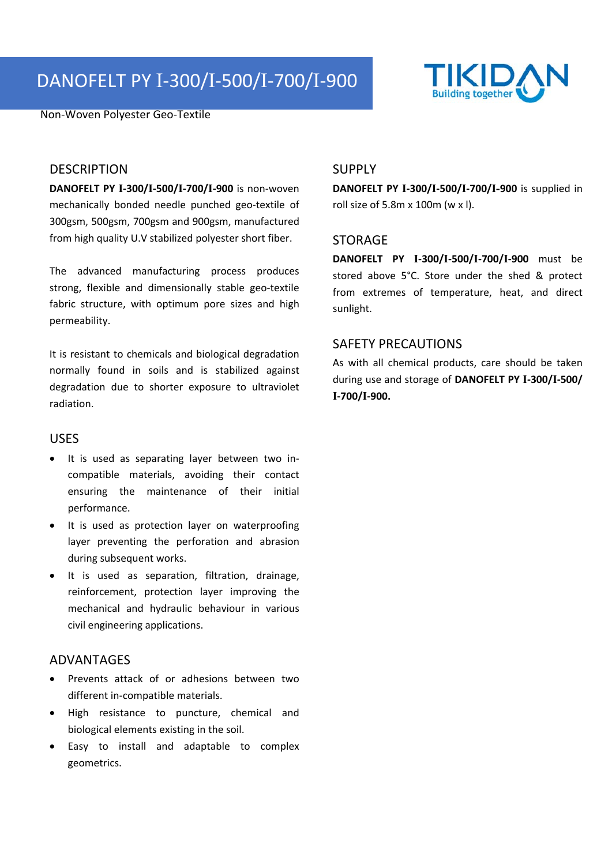# DANOFELT PY I‐300/I‐500/I‐700/I‐900

Non‐Woven Polyester Geo‐Textile



### **DESCRIPTION**

**DANOFELT PY I‐300/I‐500/I‐700/I‐900** is non‐woven mechanically bonded needle punched geo‐textile of 300gsm, 500gsm, 700gsm and 900gsm, manufactured from high quality U.V stabilized polyester short fiber.

The advanced manufacturing process produces strong, flexible and dimensionally stable geo-textile fabric structure, with optimum pore sizes and high permeability.

It is resistant to chemicals and biological degradation normally found in soils and is stabilized against degradation due to shorter exposure to ultraviolet radiation.

#### USES

- It is used as separating layer between two incompatible materials, avoiding their contact ensuring the maintenance of their initial performance.
- It is used as protection layer on waterproofing layer preventing the perforation and abrasion during subsequent works.
- It is used as separation, filtration, drainage, reinforcement, protection layer improving the mechanical and hydraulic behaviour in various civil engineering applications.

# ADVANTAGES

- Prevents attack of or adhesions between two different in‐compatible materials.
- High resistance to puncture, chemical and biological elements existing in the soil.
- Easy to install and adaptable to complex geometrics.

# SUPPLY

**DANOFELT PY I‐300/I‐500/I‐700/I-900** is supplied in roll size of 5.8m x 100m (w x l).

#### STORAGE

**DANOFELT PY I‐300/I‐500/I‐700/I‐900** must be stored above 5°C. Store under the shed & protect from extremes of temperature, heat, and direct sunlight.

# SAFETY PRECAUTIONS

As with all chemical products, care should be taken during use and storage of **DANOFELT PY I‐300/I‐500/ I‐700/I‐900.**